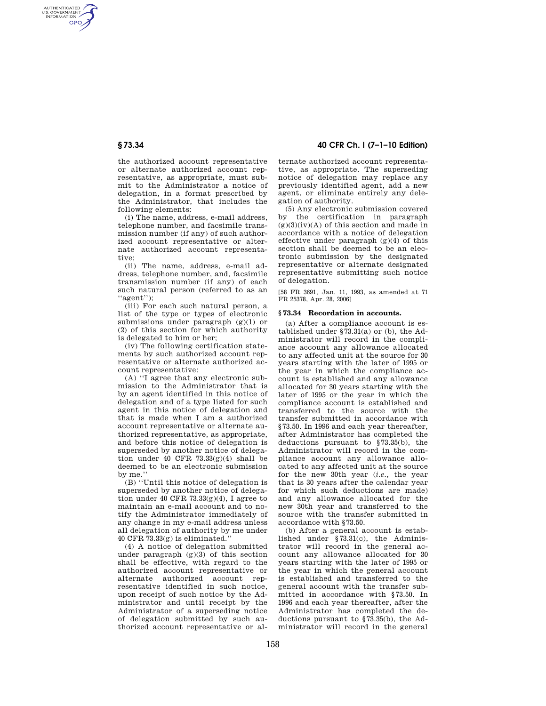AUTHENTICATED<br>U.S. GOVERNMENT<br>INFORMATION **GPO** 

> the authorized account representative or alternate authorized account representative, as appropriate, must submit to the Administrator a notice of delegation, in a format prescribed by the Administrator, that includes the following elements:

> (i) The name, address, e-mail address, telephone number, and facsimile transmission number (if any) of such authorized account representative or alternate authorized account representative;

> (ii) The name, address, e-mail address, telephone number, and, facsimile transmission number (if any) of each such natural person (referred to as an ''agent'');

> (iii) For each such natural person, a list of the type or types of electronic submissions under paragraph  $(g)(1)$  or (2) of this section for which authority is delegated to him or her;

> (iv) The following certification statements by such authorized account representative or alternate authorized account representative:

(A) ''I agree that any electronic submission to the Administrator that is by an agent identified in this notice of delegation and of a type listed for such agent in this notice of delegation and that is made when I am a authorized account representative or alternate authorized representative, as appropriate, and before this notice of delegation is superseded by another notice of delegation under 40 CFR  $73.33(g)(4)$  shall be deemed to be an electronic submission by me.'

(B) ''Until this notice of delegation is superseded by another notice of delegation under 40 CFR  $73.33(g)(4)$ , I agree to maintain an e-mail account and to notify the Administrator immediately of any change in my e-mail address unless all delegation of authority by me under 40 CFR 73.33(g) is eliminated.''

(4) A notice of delegation submitted under paragraph (g)(3) of this section shall be effective, with regard to the authorized account representative or alternate authorized account representative identified in such notice, upon receipt of such notice by the Administrator and until receipt by the Administrator of a superseding notice of delegation submitted by such authorized account representative or al-

# **§ 73.34 40 CFR Ch. I (7–1–10 Edition)**

ternate authorized account representative, as appropriate. The superseding notice of delegation may replace any previously identified agent, add a new agent, or eliminate entirely any delegation of authority.

(5) Any electronic submission covered<br>by the certification in paragraph the certification in paragraph  $(g)(3)(iv)(A)$  of this section and made in accordance with a notice of delegation effective under paragraph (g)(4) of this section shall be deemed to be an electronic submission by the designated representative or alternate designated representative submitting such notice of delegation.

[58 FR 3691, Jan. 11, 1993, as amended at 71 FR 25378, Apr. 28, 2006]

### **§ 73.34 Recordation in accounts.**

(a) After a compliance account is established under §73.31(a) or (b), the Administrator will record in the compliance account any allowance allocated to any affected unit at the source for 30 years starting with the later of 1995 or the year in which the compliance account is established and any allowance allocated for 30 years starting with the later of 1995 or the year in which the compliance account is established and transferred to the source with the transfer submitted in accordance with §73.50. In 1996 and each year thereafter, after Administrator has completed the deductions pursuant to §73.35(b), the Administrator will record in the compliance account any allowance allocated to any affected unit at the source for the new 30th year (*i.e.*, the year that is 30 years after the calendar year for which such deductions are made) and any allowance allocated for the new 30th year and transferred to the source with the transfer submitted in accordance with §73.50.

(b) After a general account is established under §73.31(c), the Administrator will record in the general account any allowance allocated for 30 years starting with the later of 1995 or the year in which the general account is established and transferred to the general account with the transfer submitted in accordance with §73.50. In 1996 and each year thereafter, after the Administrator has completed the deductions pursuant to §73.35(b), the Administrator will record in the general